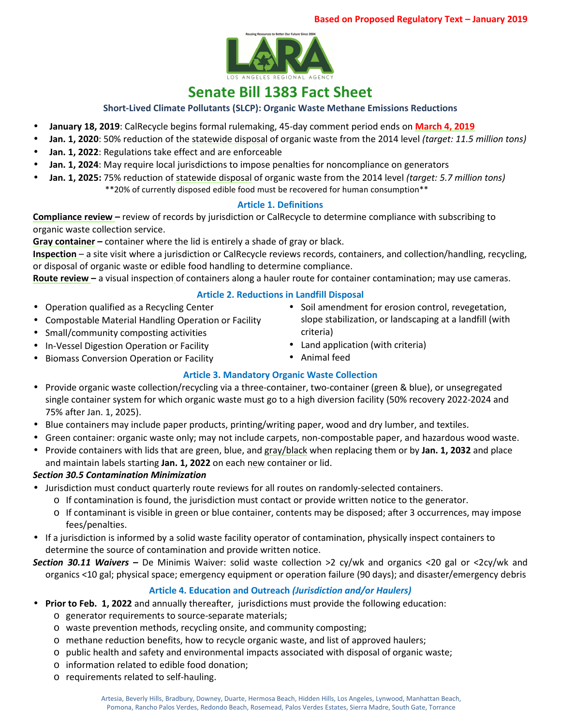

# **Senate Bill 1383 Fact Sheet**

**Short-Lived Climate Pollutants (SLCP): Organic Waste Methane Emissions Reductions**

- **January 18, 2019**: CalRecycle begins formal rulemaking, 45-day comment period ends on **March 4, 2019**
- **Jan. 1, 2020**: 50% reduction of the statewide disposal of organic waste from the 2014 level *(target: 11.5 million tons)*
- **Jan. 1, 2022**: Regulations take effect and are enforceable
- **Jan. 1, 2024**: May require local jurisdictions to impose penalties for noncompliance on generators
- **Jan. 1, 2025:** 75% reduction of statewide disposal of organic waste from the 2014 level *(target: 5.7 million tons)* \*\*20% of currently disposed edible food must be recovered for human consumption\*\*

#### **Article 1. Definitions**

**Compliance review –** review of records by jurisdiction or CalRecycle to determine compliance with subscribing to organic waste collection service.

**Gray container –** container where the lid is entirely a shade of gray or black.

**Inspection** – a site visit where a jurisdiction or CalRecycle reviews records, containers, and collection/handling, recycling, or disposal of organic waste or edible food handling to determine compliance.

**Route review –** a visual inspection of containers along a hauler route for container contamination; may use cameras.

#### **Article 2. Reductions in Landfill Disposal**

- Operation qualified as a Recycling Center
- Compostable Material Handling Operation or Facility
- Small/community composting activities
- In-Vessel Digestion Operation or Facility
- Biomass Conversion Operation or Facility
- Soil amendment for erosion control, revegetation, slope stabilization, or landscaping at a landfill (with criteria)
- Land application (with criteria)
- Animal feed

### **Article 3. Mandatory Organic Waste Collection**

- Provide organic waste collection/recycling via a three-container, two-container (green & blue), or unsegregated single container system for which organic waste must go to a high diversion facility (50% recovery 2022-2024 and 75% after Jan. 1, 2025).
- Blue containers may include paper products, printing/writing paper, wood and dry lumber, and textiles.
- Green container: organic waste only; may not include carpets, non-compostable paper, and hazardous wood waste.
- Provide containers with lids that are green, blue, and gray/black when replacing them or by **Jan. 1, 2032** and place and maintain labels starting **Jan. 1, 2022** on each new container or lid.

#### *Section 30.5 Contamination Minimization*

- Jurisdiction must conduct quarterly route reviews for all routes on randomly-selected containers.
	- $\circ$  If contamination is found, the jurisdiction must contact or provide written notice to the generator.
	- o If contaminant is visible in green or blue container, contents may be disposed; after 3 occurrences, may impose fees/penalties.
- If a jurisdiction is informed by a solid waste facility operator of contamination, physically inspect containers to determine the source of contamination and provide written notice.
- *Section 30.11 Waivers* De Minimis Waiver: solid waste collection >2 cy/wk and organics <20 gal or <2cy/wk and organics <10 gal; physical space; emergency equipment or operation failure (90 days); and disaster/emergency debris

### **Article 4. Education and Outreach** *(Jurisdiction and/or Haulers)*

- **Prior to Feb. 1, 2022** and annually thereafter, jurisdictions must provide the following education:
	- o generator requirements to source-separate materials;
	- o waste prevention methods, recycling onsite, and community composting;
	- o methane reduction benefits, how to recycle organic waste, and list of approved haulers;
	- $\circ$  public health and safety and environmental impacts associated with disposal of organic waste;
	- o information related to edible food donation;
	- o requirements related to self-hauling.
		- Artesia, Beverly Hills, Bradbury, Downey, Duarte, Hermosa Beach, Hidden Hills, Los Angeles, Lynwood, Manhattan Beach, Pomona, Rancho Palos Verdes, Redondo Beach, Rosemead, Palos Verdes Estates, Sierra Madre, South Gate, Torrance